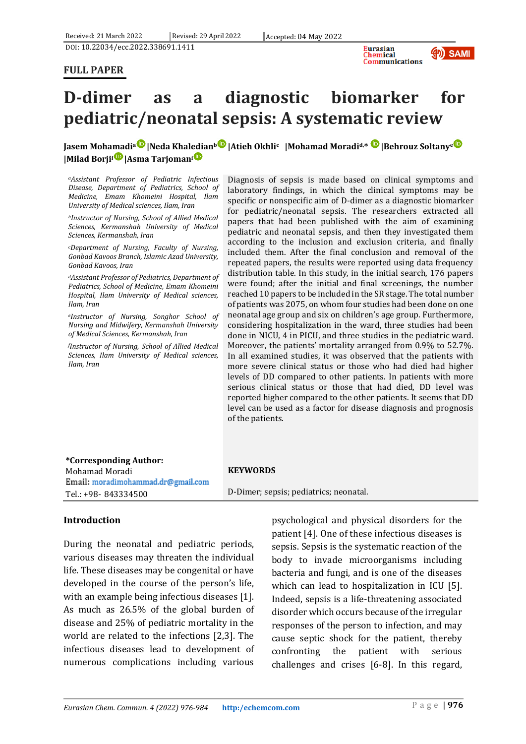DOI: 10.22034/ecc.2022.338691.1411

#### **FULL PAPER**



# **D-dimer as a diagnostic biomarker for pediatric/neonatal sepsis: A systematic review**

# **Jasem Mohamadi<sup>a</sup> |Neda Khaledian<sup>b</sup> |Atieh Okhli<sup>c</sup> |Mohamad Moradid,\* |Behrouz Soltany<sup>e</sup> |Milad Borji<sup>f</sup> |Asma Tarjoman<sup>f</sup>**

*<sup>a</sup>Assistant Professor of Pediatric Infectious Disease, Department of Pediatrics, School of Medicine, Emam Khomeini Hospital, Ilam University of Medical sciences, Ilam, Iran*

*<sup>b</sup>Instructor of Nursing, School of Allied Medical Sciences, Kermanshah University of Medical Sciences, Kermanshah, Iran*

*<sup>c</sup>Department of Nursing, Faculty of Nursing, Gonbad Kavoos Branch, Islamic Azad University, Gonbad Kavoos, Iran*

*<sup>d</sup>Assistant Professor of Pediatrics, Department of Pediatrics, School of Medicine, Emam Khomeini Hospital, Ilam University of Medical sciences, Ilam, Iran*

*<sup>e</sup>Instructor of Nursing, Songhor School of Nursing and Midwifery, Kermanshah University of Medical Sciences, Kermanshah, Iran*

*<sup>f</sup>Instructor of Nursing, School of Allied Medical Sciences, Ilam University of Medical sciences, Ilam, Iran*

Diagnosis of sepsis is made based on clinical symptoms and laboratory findings, in which the clinical symptoms may be specific or nonspecific aim of D-dimer as a diagnostic biomarker for pediatric/neonatal sepsis. The researchers extracted all papers that had been published with the aim of examining pediatric and neonatal sepsis, and then they investigated them according to the inclusion and exclusion criteria, and finally included them. After the final conclusion and removal of the repeated papers, the results were reported using data frequency distribution table. In this study, in the initial search, 176 papers were found; after the initial and final screenings, the number reached 10 papers to be included in the SR stage. The total number of patients was 2075, on whom four studies had been done on one neonatal age group and six on children's age group. Furthermore, considering hospitalization in the ward, three studies had been done in NICU, 4 in PICU, and three studies in the pediatric ward. Moreover, the patients' mortality arranged from 0.9% to 52.7%. In all examined studies, it was observed that the patients with more severe clinical status or those who had died had higher levels of DD compared to other patients. In patients with more serious clinical status or those that had died, DD level was reported higher compared to the other patients. It seems that DD level can be used as a factor for disease diagnosis and prognosis of the patients.

#### **\*Corresponding Author:**

Mohamad Moradi Email: moradimohammad.dr@gmail.com Tel.: +98- 843334500

#### **KEYWORDS**

D-Dimer; sepsis; pediatrics; neonatal.

## **Introduction**

During the neonatal and pediatric periods, various diseases may threaten the individual life. These diseases may be congenital or have developed in the course of the person's life, with an example being infectious diseases [1]. As much as 26.5% of the global burden of disease and 25% of pediatric mortality in the world are related to the infections [2,3]. The infectious diseases lead to development of numerous complications including various

psychological and physical disorders for the patient [4]. One of these infectious diseases is sepsis. Sepsis is the systematic reaction of the body to invade microorganisms including bacteria and fungi, and is one of the diseases which can lead to hospitalization in ICU [5]. Indeed, sepsis is a life-threatening associated disorder which occurs because of the irregular responses of the person to infection, and may cause septic shock for the patient, thereby confronting the patient with serious challenges and crises [6-8]. In this regard,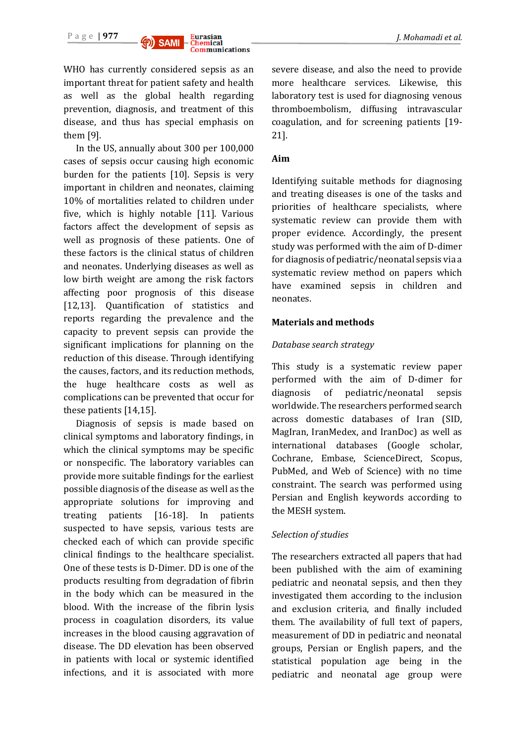

WHO has currently considered sepsis as an important threat for patient safety and health as well as the global health regarding prevention, diagnosis, and treatment of this disease, and thus has special emphasis on them [9].

In the US, annually about 300 per 100,000 cases of sepsis occur causing high economic burden for the patients [10]. Sepsis is very important in children and neonates, claiming 10% of mortalities related to children under five, which is highly notable [11]. Various factors affect the development of sepsis as well as prognosis of these patients. One of these factors is the clinical status of children and neonates. Underlying diseases as well as low birth weight are among the risk factors affecting poor prognosis of this disease [12,13]. Quantification of statistics and reports regarding the prevalence and the capacity to prevent sepsis can provide the significant implications for planning on the reduction of this disease. Through identifying the causes, factors, and its reduction methods, the huge healthcare costs as well as complications can be prevented that occur for these patients [14,15].

Diagnosis of sepsis is made based on clinical symptoms and laboratory findings, in which the clinical symptoms may be specific or nonspecific. The laboratory variables can provide more suitable findings for the earliest possible diagnosis of the disease as well as the appropriate solutions for improving and treating patients [16-18]. In patients suspected to have sepsis, various tests are checked each of which can provide specific clinical findings to the healthcare specialist. One of these tests is D-Dimer. DD is one of the products resulting from degradation of fibrin in the body which can be measured in the blood. With the increase of the fibrin lysis process in coagulation disorders, its value increases in the blood causing aggravation of disease. The DD elevation has been observed in patients with local or systemic identified infections, and it is associated with more

severe disease, and also the need to provide more healthcare services. Likewise, this laboratory test is used for diagnosing venous thromboembolism, diffusing intravascular coagulation, and for screening patients [19- 21].

# **Aim**

Identifying suitable methods for diagnosing and treating diseases is one of the tasks and priorities of healthcare specialists, where systematic review can provide them with proper evidence. Accordingly, the present study was performed with the aim of D-dimer for diagnosis of pediatric/neonatal sepsis via a systematic review method on papers which have examined sepsis in children and neonates.

# **Materials and methods**

# *Database search strategy*

This study is a systematic review paper performed with the aim of D-dimer for diagnosis of pediatric/neonatal sepsis worldwide. The researchers performed search across domestic databases of Iran (SID, MagIran, IranMedex, and IranDoc) as well as international databases (Google scholar, Cochrane, Embase, ScienceDirect, Scopus, PubMed, and Web of Science) with no time constraint. The search was performed using Persian and English keywords according to the MESH system.

# *Selection of studies*

The researchers extracted all papers that had been published with the aim of examining pediatric and neonatal sepsis, and then they investigated them according to the inclusion and exclusion criteria, and finally included them. The availability of full text of papers, measurement of DD in pediatric and neonatal groups, Persian or English papers, and the statistical population age being in the pediatric and neonatal age group were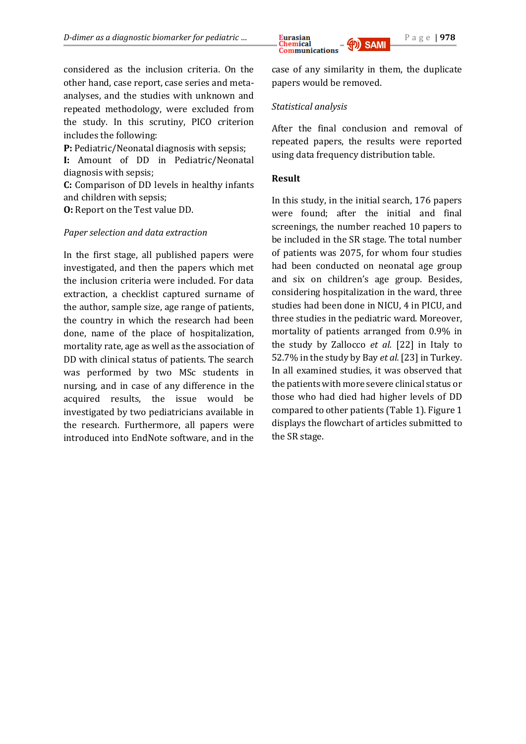

considered as the inclusion criteria. On the other hand, case report, case series and metaanalyses, and the studies with unknown and repeated methodology, were excluded from the study. In this scrutiny, PICO criterion includes the following:

**P:** Pediatric/Neonatal diagnosis with sepsis;

**I:** Amount of DD in Pediatric/Neonatal diagnosis with sepsis;

**C:** Comparison of DD levels in healthy infants and children with sepsis;

**O:** Report on the Test value DD.

## *Paper selection and data extraction*

In the first stage, all published papers were investigated, and then the papers which met the inclusion criteria were included. For data extraction, a checklist captured surname of the author, sample size, age range of patients, the country in which the research had been done, name of the place of hospitalization, mortality rate, age as well as the association of DD with clinical status of patients. The search was performed by two MSc students in nursing, and in case of any difference in the acquired results, the issue would be investigated by two pediatricians available in the research. Furthermore, all papers were introduced into EndNote software, and in the case of any similarity in them, the duplicate papers would be removed.

## *Statistical analysis*

After the final conclusion and removal of repeated papers, the results were reported using data frequency distribution table.

## **Result**

In this study, in the initial search, 176 papers were found; after the initial and final screenings, the number reached 10 papers to be included in the SR stage. The total number of patients was 2075, for whom four studies had been conducted on neonatal age group and six on children's age group. Besides, considering hospitalization in the ward, three studies had been done in NICU, 4 in PICU, and three studies in the pediatric ward. Moreover, mortality of patients arranged from 0.9% in the study by Zallocco *et al.* [22] in Italy to 52.7% in the study by Bay *et al.* [23] in Turkey. In all examined studies, it was observed that the patients with more severe clinical status or those who had died had higher levels of DD compared to other patients (Table 1). Figure 1 displays the flowchart of articles submitted to the SR stage.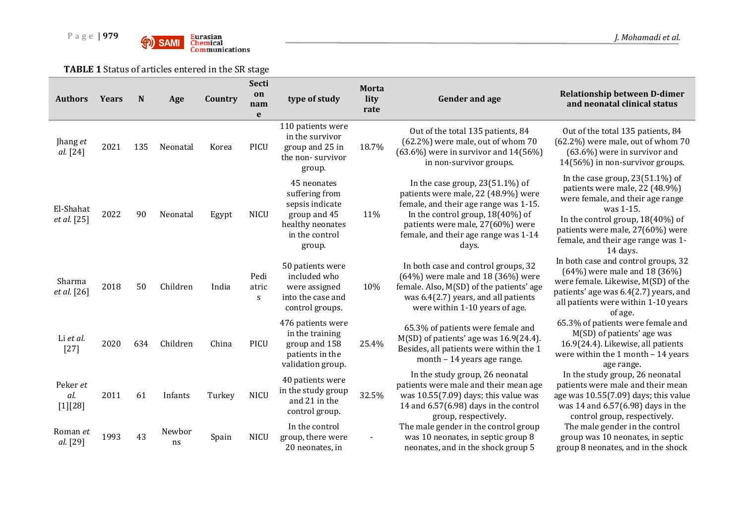

**TABLE 1** Status of articles entered in the SR stage

| <b>Authors</b>               | <b>Years</b> | N   | Age          | Country | Secti<br>on<br>nam<br>e    | type of study                                                                                                    | Morta<br>lity<br>rate | <b>Gender and age</b>                                                                                                                                                                                                                          | <b>Relationship between D-dimer</b><br>and neonatal clinical status                                                                                                                                                                                |
|------------------------------|--------------|-----|--------------|---------|----------------------------|------------------------------------------------------------------------------------------------------------------|-----------------------|------------------------------------------------------------------------------------------------------------------------------------------------------------------------------------------------------------------------------------------------|----------------------------------------------------------------------------------------------------------------------------------------------------------------------------------------------------------------------------------------------------|
| Jhang et<br>al. [24]         | 2021         | 135 | Neonatal     | Korea   | PICU                       | 110 patients were<br>in the survivor<br>group and 25 in<br>the non-survivor<br>group.                            | 18.7%                 | Out of the total 135 patients, 84<br>(62.2%) were male, out of whom 70<br>$(63.6\%)$ were in survivor and $14(56\%)$<br>in non-survivor groups.                                                                                                | Out of the total 135 patients, 84<br>(62.2%) were male, out of whom 70<br>(63.6%) were in survivor and<br>14(56%) in non-survivor groups.                                                                                                          |
| El-Shahat<br>et al. [25]     | 2022         | 90  | Neonatal     | Egypt   | <b>NICU</b>                | 45 neonates<br>suffering from<br>sepsis indicate<br>group and 45<br>healthy neonates<br>in the control<br>group. | 11%                   | In the case group, $23(51.1\%)$ of<br>patients were male, 22 (48.9%) were<br>female, and their age range was 1-15.<br>In the control group, $18(40\%)$ of<br>patients were male, 27(60%) were<br>female, and their age range was 1-14<br>days. | In the case group, $23(51.1\%)$ of<br>patients were male, 22 (48.9%)<br>were female, and their age range<br>was 1-15.<br>In the control group, $18(40\%)$ of<br>patients were male, 27(60%) were<br>female, and their age range was 1-<br>14 days. |
| Sharma<br><i>et al.</i> [26] | 2018         | 50  | Children     | India   | Pedi<br>atric<br>${\bf S}$ | 50 patients were<br>included who<br>were assigned<br>into the case and<br>control groups.                        | 10%                   | In both case and control groups, 32<br>$(64%)$ were male and 18 (36%) were<br>female. Also, M(SD) of the patients' age<br>was 6.4(2.7) years, and all patients<br>were within 1-10 years of age.                                               | In both case and control groups, 32<br>$(64%)$ were male and 18 (36%)<br>were female. Likewise, M(SD) of the<br>patients' age was 6.4(2.7) years, and<br>all patients were within 1-10 years<br>of age.                                            |
| Li et al.<br>$[27]$          | 2020         | 634 | Children     | China   | PICU                       | 476 patients were<br>in the training<br>group and 158<br>patients in the<br>validation group.                    | 25.4%                 | 65.3% of patients were female and<br>$M(SD)$ of patients' age was $16.9(24.4)$ .<br>Besides, all patients were within the 1<br>month - 14 years age range.                                                                                     | 65.3% of patients were female and<br>M(SD) of patients' age was<br>16.9(24.4). Likewise, all patients<br>were within the 1 month $-14$ years<br>age range.                                                                                         |
| Peker et<br>al.<br>[1][28]   | 2011         | 61  | Infants      | Turkey  | <b>NICU</b>                | 40 patients were<br>in the study group<br>and 21 in the<br>control group.                                        | 32.5%                 | In the study group, 26 neonatal<br>patients were male and their mean age<br>was $10.55(7.09)$ days; this value was<br>14 and $6.57(6.98)$ days in the control<br>group, respectively.                                                          | In the study group, 26 neonatal<br>patients were male and their mean<br>age was 10.55(7.09) days; this value<br>was 14 and 6.57(6.98) days in the<br>control group, respectively.                                                                  |
| Roman et<br>al. [29]         | 1993         | 43  | Newbor<br>ns | Spain   | <b>NICU</b>                | In the control<br>group, there were<br>20 neonates, in                                                           |                       | The male gender in the control group<br>was 10 neonates, in septic group 8<br>neonates, and in the shock group 5                                                                                                                               | The male gender in the control<br>group was 10 neonates, in septic<br>group 8 neonates, and in the shock                                                                                                                                           |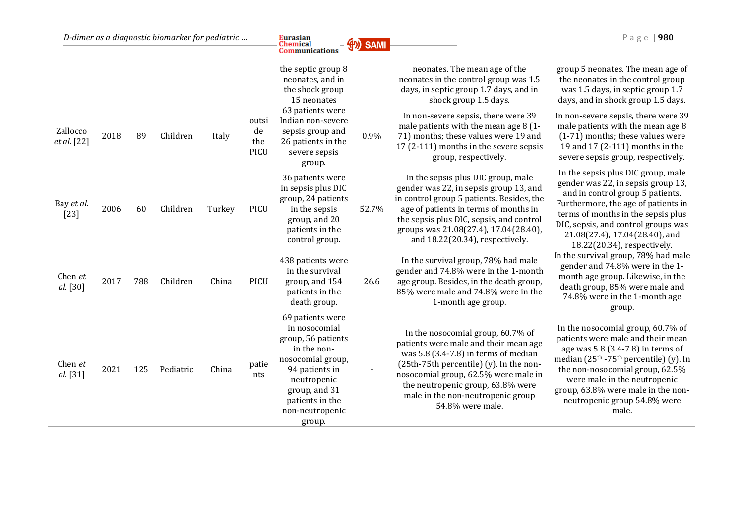|                         |      |     |           |        |                                   | the septic group 8<br>neonates, and in<br>the shock group<br>15 neonates                                                                                                                      |       | neonates. The mean age of the<br>neonates in the control group was 1.5<br>days, in septic group 1.7 days, and in<br>shock group 1.5 days.                                                                                                                                                                   | group 5 neonates. The mean age of<br>the neonates in the control group<br>was 1.5 days, in septic group 1.7<br>days, and in shock group 1.5 days.                                                                                                                                                                               |
|-------------------------|------|-----|-----------|--------|-----------------------------------|-----------------------------------------------------------------------------------------------------------------------------------------------------------------------------------------------|-------|-------------------------------------------------------------------------------------------------------------------------------------------------------------------------------------------------------------------------------------------------------------------------------------------------------------|---------------------------------------------------------------------------------------------------------------------------------------------------------------------------------------------------------------------------------------------------------------------------------------------------------------------------------|
| Zallocco<br>et al. [22] | 2018 | 89  | Children  | Italy  | outsi<br>de<br>the<br><b>PICU</b> | 63 patients were<br>Indian non-severe<br>sepsis group and<br>26 patients in the<br>severe sepsis<br>group.                                                                                    | 0.9%  | In non-severe sepsis, there were 39<br>male patients with the mean age 8 (1-<br>71) months; these values were 19 and<br>17 (2-111) months in the severe sepsis<br>group, respectively.                                                                                                                      | In non-severe sepsis, there were 39<br>male patients with the mean age 8<br>(1-71) months; these values were<br>19 and 17 (2-111) months in the<br>severe sepsis group, respectively.                                                                                                                                           |
| Bay et al.<br>$[23]$    | 2006 | 60  | Children  | Turkey | PICU                              | 36 patients were<br>in sepsis plus DIC<br>group, 24 patients<br>in the sepsis<br>group, and 20<br>patients in the<br>control group.                                                           | 52.7% | In the sepsis plus DIC group, male<br>gender was 22, in sepsis group 13, and<br>in control group 5 patients. Besides, the<br>age of patients in terms of months in<br>the sepsis plus DIC, sepsis, and control<br>groups was 21.08(27.4), 17.04(28.40),<br>and 18.22(20.34), respectively.                  | In the sepsis plus DIC group, male<br>gender was 22, in sepsis group 13,<br>and in control group 5 patients.<br>Furthermore, the age of patients in<br>terms of months in the sepsis plus<br>DIC, sepsis, and control groups was<br>21.08(27.4), 17.04(28.40), and<br>18.22(20.34), respectively.                               |
| Chen et<br>al. [30]     | 2017 | 788 | Children  | China  | PICU                              | 438 patients were<br>in the survival<br>group, and 154<br>patients in the<br>death group.                                                                                                     | 26.6  | In the survival group, 78% had male<br>gender and 74.8% were in the 1-month<br>age group. Besides, in the death group,<br>85% were male and 74.8% were in the<br>1-month age group.                                                                                                                         | In the survival group, 78% had male<br>gender and 74.8% were in the 1-<br>month age group. Likewise, in the<br>death group, 85% were male and<br>74.8% were in the 1-month age<br>group.                                                                                                                                        |
| Chen et<br>al. [31]     | 2021 | 125 | Pediatric | China  | patie<br>nts                      | 69 patients were<br>in nosocomial<br>group, 56 patients<br>in the non-<br>nosocomial group,<br>94 patients in<br>neutropenic<br>group, and 31<br>patients in the<br>non-neutropenic<br>group. |       | In the nosocomial group, 60.7% of<br>patients were male and their mean age<br>was $5.8$ (3.4-7.8) in terms of median<br>$(25th-75th)$ percentile) $(y)$ . In the non-<br>nosocomial group, 62.5% were male in<br>the neutropenic group, 63.8% were<br>male in the non-neutropenic group<br>54.8% were male. | In the nosocomial group, 60.7% of<br>patients were male and their mean<br>age was 5.8 (3.4-7.8) in terms of<br>median (25 <sup>th</sup> -75 <sup>th</sup> percentile) (y). In<br>the non-nosocomial group, 62.5%<br>were male in the neutropenic<br>group, 63.8% were male in the non-<br>neutropenic group 54.8% were<br>male. |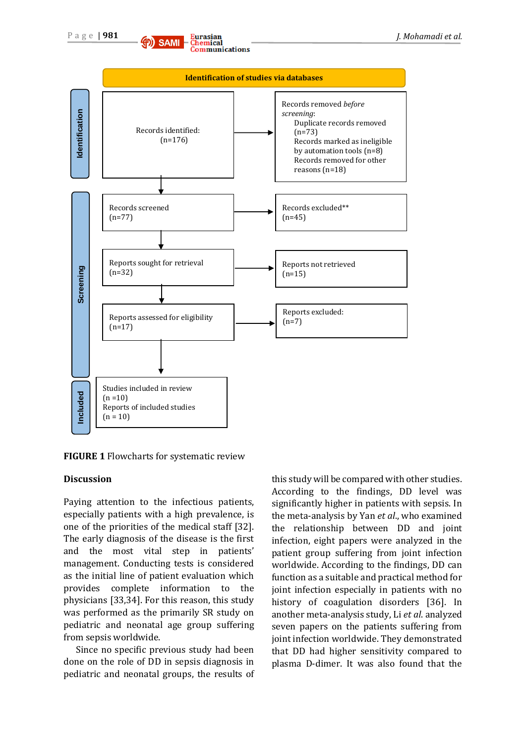



#### **FIGURE 1** Flowcharts for systematic review

#### **Discussion**

Paying attention to the infectious patients, especially patients with a high prevalence, is one of the priorities of the medical staff [32]. The early diagnosis of the disease is the first and the most vital step in patients' management. Conducting tests is considered as the initial line of patient evaluation which provides complete information to the physicians [33,34]. For this reason, this study was performed as the primarily SR study on pediatric and neonatal age group suffering from sepsis worldwide.

Since no specific previous study had been done on the role of DD in sepsis diagnosis in pediatric and neonatal groups, the results of this study will be compared with other studies. According to the findings, DD level was significantly higher in patients with sepsis. In the meta-analysis by Yan *et al*., who examined the relationship between DD and joint infection, eight papers were analyzed in the patient group suffering from joint infection worldwide. According to the findings, DD can function as a suitable and practical method for joint infection especially in patients with no history of coagulation disorders [36]. In another meta-analysis study, Li *et al*. analyzed seven papers on the patients suffering from joint infection worldwide. They demonstrated that DD had higher sensitivity compared to plasma D-dimer. It was also found that the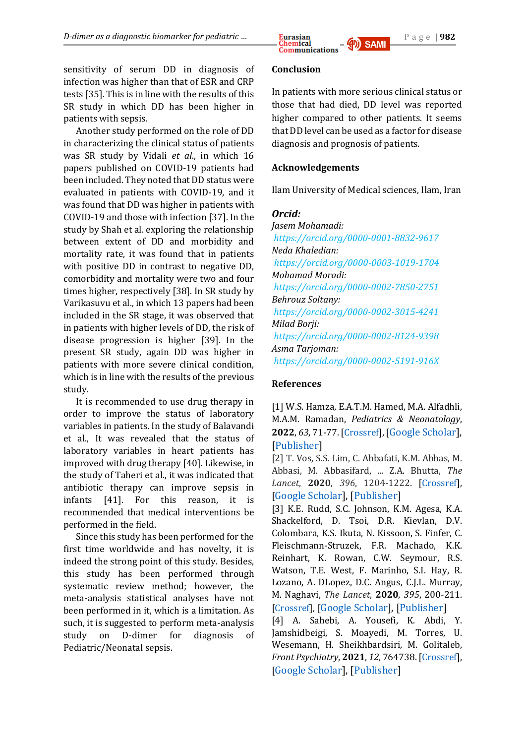

sensitivity of serum DD in diagnosis of infection was higher than that of ESR and CRP tests [35]. This is in line with the results of this SR study in which DD has been higher in patients with sepsis.

Another study performed on the role of DD in characterizing the clinical status of patients was SR study by Vidali *et al*., in which 16 papers published on COVID-19 patients had been included. They noted that DD status were evaluated in patients with COVID-19, and it was found that DD was higher in patients with COVID-19 and those with infection [37]. In the study by Shah et al. exploring the relationship between extent of DD and morbidity and mortality rate, it was found that in patients with positive DD in contrast to negative DD, comorbidity and mortality were two and four times higher, respectively [38]. In SR study by Varikasuvu et al., in which 13 papers had been included in the SR stage, it was observed that in patients with higher levels of DD, the risk of disease progression is higher [39]. In the present SR study, again DD was higher in patients with more severe clinical condition, which is in line with the results of the previous study.

It is recommended to use drug therapy in order to improve the status of laboratory variables in patients. In the study of Balavandi et al., It was revealed that the status of laboratory variables in heart patients has improved with drug therapy [40]. Likewise, in the study of Taheri et al., it was indicated that antibiotic therapy can improve sepsis in infants [41]. For this reason, it is recommended that medical interventions be performed in the field.

Since this study has been performed for the first time worldwide and has novelty, it is indeed the strong point of this study. Besides, this study has been performed through systematic review method; however, the meta-analysis statistical analyses have not been performed in it, which is a limitation. As such, it is suggested to perform meta-analysis study on D-dimer for diagnosis of Pediatric/Neonatal sepsis.

# **Conclusion**

In patients with more serious clinical status or those that had died, DD level was reported higher compared to other patients. It seems that DD level can be used as a factor for disease diagnosis and prognosis of patients.

# **Acknowledgements**

Ilam University of Medical sciences, Ilam, Iran

# *Orcid:*

*Jasem Mohamadi: <https://orcid.org/0000-0001-8832-9617> Neda Khaledian: <https://orcid.org/0000-0003-1019-1704> Mohamad Moradi: <https://orcid.org/0000-0002-7850-2751> Behrouz Soltany: <https://orcid.org/0000-0002-3015-4241> Milad Borji: <https://orcid.org/0000-0002-8124-9398> Asma Tarjoman: <https://orcid.org/0000-0002-5191-916X>*

# **References**

[1] W.S. Hamza, E.A.T.M. Hamed, M.A. Alfadhli, M.A.M. Ramadan, *Pediatrics & Neonatology*, **2022**, *63*, 71-77. [\[Crossref\]](https://doi.org/10.1016/j.pedneo.2021.08.010), [[Google Scholar\]](https://scholar.google.com/scholar?hl=en&as_sdt=0%2C5&q=%E2%80%8E+Hamza%2C+W.S.%2C+et+al.%2C+A+multidisciplinary+%E2%80%8Eintervention+to+reduce+central+line-associated+%E2%80%8Ebloodstream+infection+in+pediatrics+and+%E2%80%8Eneonatal+intensive+care+units.+Pediatrics+%26+%E2%80%8ENeonatology%2C+2022.+63%281%29%3A+p.+71-77.+%E2%80%8E&btnG=), [\[Publisher\]](https://www.sciencedirect.com/science/article/pii/S187595722100173X)

[2] T. Vos, S.S. Lim, C. Abbafati, K.M. Abbas, M. Abbasi, M. Abbasifard, ... Z.A. Bhutta, *The Lancet*, **2020**, *396*, 1204-1222. [\[Crossref\]](https://doi.org/10.1016/S0140-6736(20)30925-9), [[Google Scholar\]](https://scholar.google.com/scholar?hl=en&as_sdt=0%2C5&q=%E2%80%8EVos%2C+T.%2C+et+al.%2C+Global+burden+of+369+diseases+%E2%80%8Eand+injuries+in+204+countries+and+territories%2C+%E2%80%8E%E2%80%8E1990%E2%80%932019%3A+a+systematic+analysis+for+the+%E2%80%8EGlobal+Burden+of+Disease+Study+2019.+2020.+%E2%80%8E%E2%80%8E396%2810258%29%3A+p.+1204-1222%E2%80%8E&btnG=), [\[Publisher\]](https://www.sciencedirect.com/science/article/pii/S0140673620309259)

[3] K.E. Rudd, S.C. Johnson, K.M. Agesa, K.A. Shackelford, D. Tsoi, D.R. Kievlan, D.V. Colombara, K.S. Ikuta, N. Kissoon, S. Finfer, C. Fleischmann-Struzek, F.R. Machado, K.K. Reinhart, K. Rowan, C.W. Seymour, R.S. Watson, T.E. West, F. Marinho, S.I. Hay, R. Lozano, A. DLopez, D.C. Angus, C.J.L. Murray, M. Naghavi, *The Lancet*, **2020**, *395*, 200-211. [\[Crossref\]](https://doi.org/10.1016/S0140-6736(19)32989-7), [[Google Scholar\]](https://scholar.google.com/scholar?hl=en&as_sdt=0%2C5&q=%E2%80%8ERudd%2C+K.E.%2C+et+al.%2C+Global%2C+regional%2C+and+%E2%80%8Enational+sepsis+incidence+and+mortality%2C+%E2%80%8E%E2%80%8E1990%E2%80%932017%3A+analysis+for+the+Global+Burden+of+%E2%80%8EDisease+Study.+2020.+395%2810219%29%3A+p.+200-211.%E2%80%8E&btnG=), [\[Publisher\]](https://www.sciencedirect.com/science/article/pii/S0140673619329897)

[4] A. Sahebi, A. Yousefi, K. Abdi, Y. Jamshidbeigi, S. Moayedi, M. Torres, U. Wesemann, H. Sheikhbardsiri, M. Golitaleb, *Front Psychiatry*, **2021**, *12*, 764738. [\[Crossref\]](https://dx.doi.org/10.3389%2Ffpsyt.2021.764738), [[Google Scholar\]](https://scholar.google.com/scholar?hl=en&as_sdt=0%2C5&q=%E2%80%8ESahebi%2C+A.%2C+et+al.%2C+The+Prevalence+of+Post-%E2%80%8Etraumatic+Stress+Disorder+Among+Health+Care+%E2%80%8EWorkers+During+the+COVID-19+Pandemic%3A+An+%E2%80%8EUmbrella+Review+and+Meta-Analysis.+Front+%E2%80%8EPsychiatry%2C+2021.+12%3A+p.+764738.+%E2%80%8E&btnG=), [\[Publisher\]](https://www.ncbi.nlm.nih.gov/pmc/articles/PMC8634396/)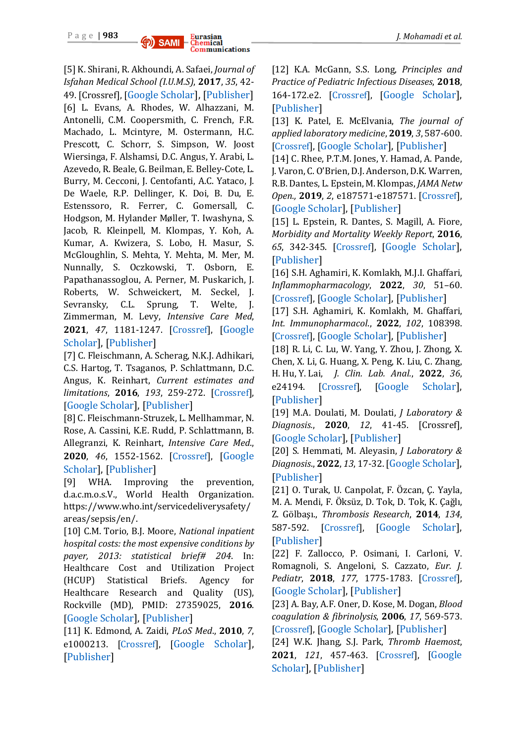

[5] K. Shirani, R. Akhoundi, A. Safaei, *Journal of Isfahan Medical School (I.U.M.S)*, **2017**, *35*, 42- 49. [Crossref], [[Google Scholar\]](https://scholar.google.com/scholar?hl=en&as_sdt=0%2C5&q=%E2%80%8EShirani%2C+K.%2C+R.+Akhoundi%2C+And+A.+Safaei%2C+%E2%80%8EDemographic+and+some+underlying+factors+in+%E2%80%8Epatients+with+sepsis+in+Alzahra+hospital%2C+%E2%80%8EIsfahan%2C+Iran.+2017.+%E2%80%8E&btnG=), [\[Publisher\]](https://www.sid.ir/en/Journal/ViewPaper.aspx?ID=533194) [6] L. Evans, A. Rhodes, W. Alhazzani, M. Antonelli, C.M. Coopersmith, C. French, F.R. Machado, L. Mcintyre, M. Ostermann, H.C. Prescott, C. Schorr, S. Simpson, W. Joost Wiersinga, F. Alshamsi, D.C. Angus, Y. Arabi, L. Azevedo, R. Beale, G. Beilman, E. Belley-Cote, L. Burry, M. Cecconi, J. Centofanti, A.C. Yataco, J. De Waele, R.P. Dellinger, K. Doi, B. Du, E. Estenssoro, R. Ferrer, C. Gomersall, C. Hodgson, M. Hylander Møller, T. Iwashyna, S. Jacob, R. Kleinpell, M. Klompas, Y. Koh, A. Kumar, A. Kwizera, S. Lobo, H. Masur, S. McGloughlin, S. Mehta, Y. Mehta, M. Mer, M. Nunnally, S. Oczkowski, T. Osborn, E. Papathanassoglou, A. Perner, M. Puskarich, J. Roberts, W. Schweickert, M. Seckel, J. Sevransky, C.L. Sprung, T. Welte, J. Zimmerman, M. Levy, *Intensive Care Med*, **2021**, *47*, 1181-1247. [\[Crossref\]](https://doi.org/10.1007/s00134-021-06506-y), [[Google](https://scholar.google.com/scholar?hl=en&as_sdt=0%2C5&q=Surviving+sepsis+campaign%3A+international+guidelines+for+management+of+sepsis+and+septic+shock+2021&btnG=)  [Scholar\]](https://scholar.google.com/scholar?hl=en&as_sdt=0%2C5&q=Surviving+sepsis+campaign%3A+international+guidelines+for+management+of+sepsis+and+septic+shock+2021&btnG=), [\[Publisher\]](https://link.springer.com/article/10.1007/s00134-021-06506-y)

[7] C. Fleischmann, A. Scherag, N.K.J. Adhikari, C.S. Hartog, T. Tsaganos, P. Schlattmann, D.C. Angus, K. Reinhart, *Current estimates and limitations*, **2016**, *193*, 259-272. [\[Crossref\]](https://doi.org/10.1164/rccm.201504-0781OC), [[Google Scholar\]](https://scholar.google.com/scholar?hl=en&as_sdt=0%2C5&q=%E2%80%8EFleischmann%2C+C.%2C+et+al.%2C+Assessment+of+global+%E2%80%8Eincidence+and+mortality+of+hospital-treated+%E2%80%8Esepsis.+Current+estimates+and+limitations.+%E2%80%8E%E2%80%8E2016.+193%283%29%3A+p.+259-272.+%E2%80%8E&btnG=), [\[Publisher\]](https://www.atsjournals.org/doi/full/10.1164/rccm.201504-0781OC)

[8] C. Fleischmann-Struzek, L. Mellhammar, N. Rose, A. Cassini, K.E. Rudd, P. Schlattmann, B. Allegranzi, K. Reinhart, *Intensive Care Med*., **2020**, *46*, 1552-1562. [\[Crossref\]](https://doi.org/10.1007/s00134-020-06151-x), [[Google](https://scholar.google.com/scholar?hl=en&as_sdt=0%2C5&q=%E2%80%8EFleischmann-Struzek%2C+C.%2C+et+al.%2C+Incidence+%E2%80%8Eand+mortality+of+hospital-and+ICU-treated+%E2%80%8Esepsis%3A+results+from+an+updated+and+expanded+%E2%80%8Esystematic+review+and+meta-analysis.+2020.+%E2%80%8E%E2%80%8E46%288%29%3A+p.+1552-1562.+%E2%80%8E&btnG=)  [Scholar\]](https://scholar.google.com/scholar?hl=en&as_sdt=0%2C5&q=%E2%80%8EFleischmann-Struzek%2C+C.%2C+et+al.%2C+Incidence+%E2%80%8Eand+mortality+of+hospital-and+ICU-treated+%E2%80%8Esepsis%3A+results+from+an+updated+and+expanded+%E2%80%8Esystematic+review+and+meta-analysis.+2020.+%E2%80%8E%E2%80%8E46%288%29%3A+p.+1552-1562.+%E2%80%8E&btnG=), [\[Publisher\]](https://link.springer.com/article/10.1007/s00134-020-06151-x)

[9] WHA. Improving the prevention, d.a.c.m.o.s.V., World Health Organization. https://www.who.int/servicedeliverysafety/ areas/sepsis/en/.

[10] C.M. Torio, B.J. Moore, *National inpatient hospital costs: the most expensive conditions by payer, 2013: statistical brief# 204*. In: Healthcare Cost and Utilization Project (HCUP) Statistical Briefs. Agency for Healthcare Research and Quality (US), Rockville (MD), PMID: 27359025, **2016**. [[Google Scholar\]](https://scholar.google.com/scholar?hl=en&as_sdt=0%2C5&q=%E2%80%8ETorio%2C+C.M.+and+B.J.+Moore%2C+National+%E2%80%8Einpatient+hospital+costs%3A+the+most+expensive+%E2%80%8Econditions+by+payer%2C+2013%3A+statistical+brief%23+%E2%80%8E%E2%80%8E204.+PMID%3A+27359025+2016.+%E2%80%8E&btnG=), [\[Publisher\]](https://europepmc.org/article/NBK/nbk368492)

[11] K. Edmond, A. Zaidi, *PLoS Med*., **2010**, *7*, e1000213. [\[Crossref\]](https://doi.org/10.1371/journal.pmed.1000213), [[Google Scholar\]](https://scholar.google.com/scholar?hl=en&as_sdt=0%2C5&q=%E2%80%8EEdmond%2C+K.+and+A.J.P.m.+Zaidi%2C+New+%E2%80%8Eapproaches+to+preventing%2C+diagnosing%2C+and+%E2%80%8Etreating+neonatal+sepsis.+2010.+7%283%29%3A+p.+%E2%80%8Ee1000213%E2%80%8E&btnG=), [\[Publisher\]](https://journals.plos.org/plosmedicine/article?id=10.1371/journal.pmed.1000213)

[12] K.A. McGann, S.S. Long, *Principles and Practice of Pediatric Infectious Diseases*, **2018**, 164-172.e2. [\[Crossref\]](https://dx.doi.org/10.1016%2FB978-0-323-40181-4.00021-9), [[Google Scholar\]](https://scholar.google.com/scholar?hl=en&as_sdt=0%2C5&q=%E2%80%8EMcGann%2C+K.A.%2C+S.S.J.P.+Long%2C+and+P.o.P.I.+%E2%80%8EDiseases%2C+Respiratory+Tract+Symptom+%E2%80%8EComplexes.+Louis+2018%3A+p.+164%E2%80%8E&btnG=), [\[Publisher\]](https://www.ncbi.nlm.nih.gov/pmc/articles/PMC7173486/)

[13] K. Patel, E. McElvania, *The journal of applied laboratory medicine*, **2019**, *3*, 587-600. [\[Crossref\]](https://doi.org/10.1373/jalm.2017.025908‎), [[Google Scholar\]](https://scholar.google.com/scholar?hl=en&as_sdt=0%2C5&q=%E2%80%8EPatel%2C+K.+and+E.J.T.j.o.a.l.m.+McElvania%2C+%E2%80%8EDiagnostic+challenges+and+laboratory+%E2%80%8Econsiderations+for+pediatric+sepsis.+The+%E2%80%8Ejournal+of+applied+laboratory+medicine.%2C+2019.+%E2%80%8E%E2%80%8E3%284%29%3A+p.+587-600%E2%80%8E&btnG=), [\[Publisher\]](https://academic.oup.com/jalm/article/3/4/587/5603181?login=true)

[14] C. Rhee, P.T.M. Jones, Y. Hamad, A. Pande, J. Varon, C. O'Brien, D.J. Anderson, D.K. Warren, R.B. Dantes, L. Epstein, M. Klompas, *JAMA Netw Open.,* **2019**, *2*, e187571-e187571. [\[Crossref\]](file:///C:/Users/borji/Downloads/‎10.1001/jamanetworkopen.2018.7571‎), [[Google Scholar\]](https://scholar.google.com/scholar?hl=en&as_sdt=0%2C5&q=%E2%80%8ERhee%2C+C.%2C+et+al.%2C+Prevalence%2C+underlying+%E2%80%8Ecauses%2C+and+preventability+of+sepsis-associated+%E2%80%8Emortality+in+US+acute+care+hospitals.+JAMA+%E2%80%8E%E2%80%8E2019.+2%282%29%3A+p.+e187571-e187571%E2%80%8E&btnG=), [\[Publisher\]](https://jamanetwork.com/journals/jamanetworkopen/article-abstract/2724768)

[15] L. Epstein, R. Dantes, S. Magill, A. Fiore, *Morbidity and Mortality Weekly Report*, **2016**, *65*, 342-345. [\[Crossref\]](https://doi.org/10.15585/mmwr.mm6513a2), [[Google Scholar\]](https://scholar.google.com/scholar?hl=en&as_sdt=0%2C5&q=%E2%80%8E+Epstein%2C+L.%2C+et+al.%2C+Varying+estimates+of+%E2%80%8Esepsis+mortality+using+death+certificates+and+%E2%80%8Eadministrative+codes%E2%80%94United+States%2C+1999%E2%80%93%E2%80%8E%E2%80%8E2014.+Morbidity+and+Mortality+Weekly+%E2%80%8EReport%2C+2016.+65%2813%29%3A+p.+342-345%E2%80%8E&btnG=), [\[Publisher\]](https://www.jstor.org/stable/24858003)

[16] S.H. Aghamiri, K. Komlakh, M.J.I. Ghaffari, *Inflammopharmacology*, **2022**, *30*, 51–60. [\[Crossref\]](https://doi.org/10.1007/s10787-021-00919-3‎), [[Google Scholar\]](https://scholar.google.com/scholar?hl=en&as_sdt=0%2C5&q=%E2%80%8EAghamiri%2C+S.H.%2C+K.+Komlakh%2C+and+M.J.I.+%E2%80%8EGhaffari%2C+The+crosstalk+among+TLR2%2C+TLR4+%E2%80%8Eand+pathogenic+pathways%3B+a+treasure+trove+for+%E2%80%8Etreatment+of+diabetic+neuropathy.+2022.+%E2%80%8EInflammopharmacology%3A+p.+1-10%E2%80%8E&btnG=), [\[Publisher\]](https://link.springer.com/article/10.1007/s10787-021-00919-3)

[17] S.H. Aghamiri, K. Komlakh, M. Ghaffari, *Int. Immunopharmacol*., **2022**, *102*, 108398. [\[Crossref\]](https://doi.org/10.1016/j.intimp.2021.108398‎), [[Google Scholar\]](https://scholar.google.com/scholar?hl=en&as_sdt=0%2C5&q=%E2%80%8E%E2%80%8E+Aghamiri%2C+S.H.%2C+K.+Komlakh%2C+and+M.J.I.i.+%E2%80%8EGhaffari%2C+Toll-Like+Receptors+%28TLRs%29+and+their+%E2%80%8Epotential+therapeutic+applications+in+diabetic+%E2%80%8Eneuropathy.+International+%E2%80%8Eimmunopharmacology%2C+2022.+102%3A+p.+108398%E2%80%8E&btnG=), [\[Publisher\]](https://www.sciencedirect.com/science/article/pii/S1567576921010341)

[18] R. Li, C. Lu, W. Yang, Y. Zhou, J. Zhong, X. Chen, X. Li, G. Huang, X. Peng, K. Liu, C. Zhang, H. Hu, Y. Lai, *J. Clin. Lab. Anal.*, **2022**, *36*, e24194. [\[Crossref\]](https://doi.org/10.1002/jcla.24194), [[Google Scholar\]](https://scholar.google.com/scholar?hl=en&as_sdt=0%2C5&q=%E2%80%8E+Li%2C+R.%2C+et+al.%2C+A+panel+of+three+serum+%E2%80%8EmicroRNA+can+be+used+as+potential+diagnostic+%E2%80%8Ebiomarkers+for+nasopharyngeal+carcinoma.+%E2%80%8E%E2%80%8E2022%3A+p.+e24194.+%E2%80%8E&btnG=), [\[Publisher\]](https://onlinelibrary.wiley.com/doi/full/10.1002/jcla.24194)

[19] M.A. Doulati, M. Doulati, *J Laboratory & Diagnosis.*, **2020**, *12*, 41-45. [Crossref], [[Google Scholar\]](https://scholar.google.com/scholar?hl=en&as_sdt=0%2C5&q=%E2%80%8EDoulati%2C+M.A.+and+M.+Doulati%2C+the+value+%E2%80%8Eof+D-Dimer+as+a+biomarker+in+assessing+%E2%80%8Edisease+severity+and+mortality+in+patients+with+%E2%80%8ECovid-19%2C+a+review+study+%25J+Laboratory+%26+%E2%80%8EDiagnosis.+2020.+12%2849%29%3A+p.+41-45%E2%80%8E&btnG=), [\[Publisher\]](https://labdiagnosis.ir/browse.php?a_id=421&slc_lang=en&sid=1&printcase=1&hbnr=1&hmb=1)

[20] S. Hemmati, M. Aleyasin, *J Laboratory & Diagnosis*., **2022**, *13*, 17-32. [[Google Scholar\]](https://scholar.google.com/scholar?hl=en&as_sdt=0%2C5&q=%E2%80%8EHemmati%2C+S.+and+M.+Aleyasin%2C+The+Effect+%E2%80%8Eof+Preanalytical%2C+Analytical%2C+and+%E2%80%8EPostanalytical+Variables+on+D-dimer+%E2%80%8EMeasurement+%25J+Laboratory+%26+Diagnosis.+%E2%80%8E%E2%80%8E2022.+13%2854%29%3A+p.+17-32%E2%80%8E&btnG=), [\[Publisher\]](http://labdiagnosis.ir/browse.php?a_id=482&slc_lang=en&sid=1&printcase=1&hbnr=1&hmb=1)

[21] O. Turak, U. Canpolat, F. Özcan, Ç. Yayla, M. A. Mendi, F. Öksüz, D. Tok, D. Tok, K. Çağlı, Z. Gölbaşı., *Thrombosis Research*, **2014**, *134*, 587-592. [\[Crossref\]](https://doi.org/10.1016/j.thromres.2014.06.015), [[Google Scholar\]](https://scholar.google.com/scholar?hl=en&as_sdt=0%2C5&q=%E2%80%8ETurak%2C+O.%2C+et+al.%2C+D-dimer+level+predicts+%E2%80%8Ein-hospital+mortality+in+patients+with+infective+%E2%80%8Eendocarditis%3A+a+prospective+single-centre+%E2%80%8Estudy.+2014.+134%283%29%3A+p.+587-592%E2%80%8E&btnG=), [\[Publisher\]](https://www.sciencedirect.com/science/article/abs/pii/S0049384814003417)

[22] F. Zallocco, P. Osimani, I. Carloni, V. Romagnoli, S. Angeloni, S. Cazzato, *Eur. J. Pediatr*, **2018**, *177*, 1775-1783. [\[Crossref\]](https://doi.org/10.1007/s00431-018-3247-2‎), [[Google Scholar\]](https://scholar.google.com/scholar?hl=en&as_sdt=0%2C5&q=%E2%80%8EZallocco%2C+F.%2C+et+al.%2C+Assessment+of+clinical+%E2%80%8Eoutcome+of+children+with+sepsis+outside+the+%E2%80%8Eintensive+care+unit.+European+Journal+of+%E2%80%8EPediatrics%2C+2018.+177%2812%29%3A+p.+1775-1783%E2%80%8E&btnG=), [\[Publisher\]](https://link.springer.com/article/10.1007/s00431-018-3247-2)

[23] A. Bay, A.F. Oner, D. Kose, M. Dogan, *Blood coagulation & fibrinolysis*, **2006**, *17*, 569-573. [\[Crossref\]](https://doi.org/10.1097/01.mbc.0000245304.95138.cf‎), [[Google Scholar\]](https://scholar.google.com/scholar?hl=en&as_sdt=0%2C5&q=%E2%80%8EBay%2C+A.%2C+et+al.%2C+Global+fibrinolytic+%E2%80%8Ecapacity+in+pediatric+patients+with+sepsis+and+%E2%80%8Edisseminated+intravascular+coagulation.+Blood+%E2%80%8Ecoagulation+%26+fibrinolysis%2C+2006.+17%287%29%3A+p.+%E2%80%8E%E2%80%8E569-573%E2%80%8E&btnG=), [\[Publisher\]](https://journals.lww.com/bloodcoagulation/Abstract/2006/10000/Global_fibrinolytic_capacity_in_pediatric_patients.10.aspx)

[24] W.K. Jhang, S.J. Park, *Thromb Haemost*, **2021**, *121*, 457-463. [\[Crossref\]](https://doi.org/‎10.1055/s-0040-1718736‎), [[Google](https://scholar.google.com/scholar?hl=en&as_sdt=0%2C5&q=%E2%80%8EJhang%2C+W.K.%2C+S.J.J.T.+Park%2C+and+%E2%80%8EHaemostasis%2C+Evaluation+of+sepsis-induced+%E2%80%8Ecoagulopathy+in+critically+ill+pediatric+patients+%E2%80%8Ewith+septic+shock.+Thrombosis+and+%E2%80%8EHaemostasis%2C%2C+2021.+121%2804%29%3A+p.+457-463%E2%80%8E&btnG=)  [Scholar\]](https://scholar.google.com/scholar?hl=en&as_sdt=0%2C5&q=%E2%80%8EJhang%2C+W.K.%2C+S.J.J.T.+Park%2C+and+%E2%80%8EHaemostasis%2C+Evaluation+of+sepsis-induced+%E2%80%8Ecoagulopathy+in+critically+ill+pediatric+patients+%E2%80%8Ewith+septic+shock.+Thrombosis+and+%E2%80%8EHaemostasis%2C%2C+2021.+121%2804%29%3A+p.+457-463%E2%80%8E&btnG=), [\[Publisher\]](https://www.thieme-connect.com/products/ejournals/abstract/10.1055/s-0040-1718736)